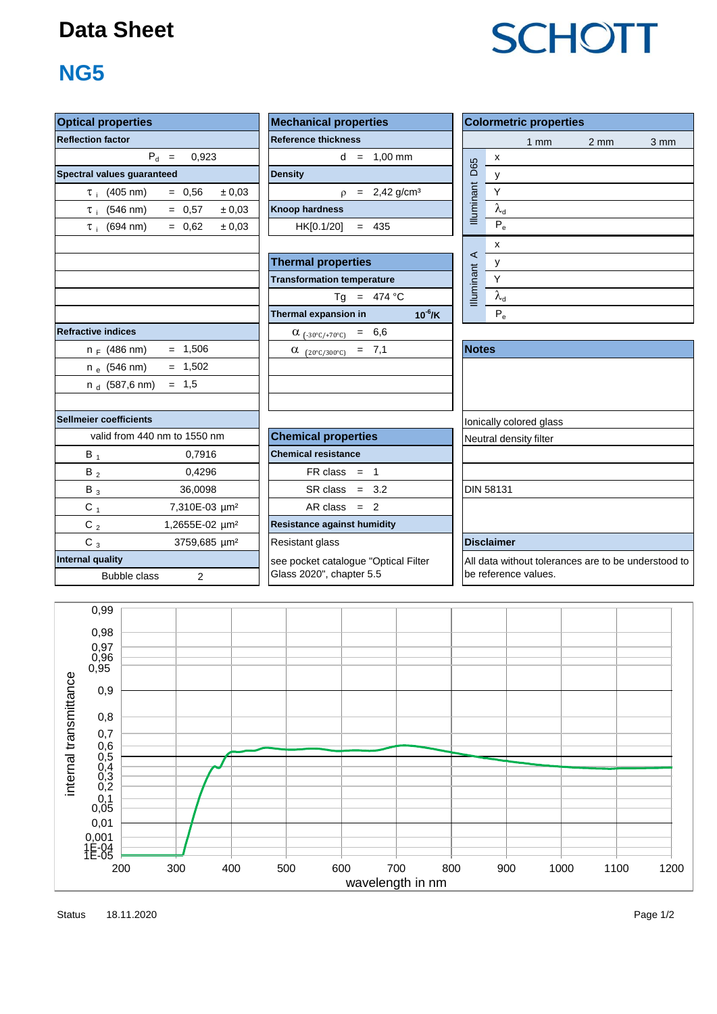#### **Data Sheet**

### **NG5**

| <b>Optical properties</b>               |                              | <b>Mechanical properties</b>                                     |                        | <b>Colormetric properties</b><br>1mm<br>2 <sub>mm</sub><br>x<br>D65 |                                                  |      |  |  |
|-----------------------------------------|------------------------------|------------------------------------------------------------------|------------------------|---------------------------------------------------------------------|--------------------------------------------------|------|--|--|
| <b>Reflection factor</b>                |                              | <b>Reference thickness</b>                                       |                        |                                                                     |                                                  | 3 mm |  |  |
|                                         | $P_d =$<br>0.923             | $d = 1.00$ mm                                                    |                        |                                                                     |                                                  |      |  |  |
| Spectral values guaranteed              |                              | <b>Density</b>                                                   |                        | y                                                                   |                                                  |      |  |  |
| $\tau$ (405 nm)                         | $= 0.56$<br>± 0.03           | $= 2,42$ g/cm <sup>3</sup><br>$\mathsf{D}$                       | Illuminant             | $\sf Y$                                                             |                                                  |      |  |  |
| $\tau_i$ (546 nm)                       | $= 0.57$<br>± 0.03           | <b>Knoop hardness</b>                                            |                        | $\lambda_{d}$                                                       |                                                  |      |  |  |
| $\tau_i$ (694 nm)                       | ± 0,03<br>$= 0.62$           | HK[0.1/20]<br>$= 435$                                            |                        | $P_e$                                                               |                                                  |      |  |  |
|                                         |                              |                                                                  |                        | $\pmb{\mathsf{x}}$                                                  |                                                  |      |  |  |
|                                         |                              | <b>Thermal properties</b>                                        | $\prec$                | у                                                                   |                                                  |      |  |  |
|                                         |                              | <b>Transformation temperature</b>                                | Illuminant             | Y                                                                   |                                                  |      |  |  |
|                                         |                              | Tg = $474 °C$                                                    |                        | $\lambda_{\rm d}$                                                   |                                                  |      |  |  |
|                                         |                              | $10^{-6}$ /K<br>Thermal expansion in                             |                        | $P_e$                                                               |                                                  |      |  |  |
| <b>Refractive indices</b>               |                              | $\alpha_{(-30^{\circ}C/+70^{\circ}C)} = 6,6$                     |                        |                                                                     |                                                  |      |  |  |
| $n_F$ (486 nm)                          | $= 1,506$                    | $= 7,1$<br>$\alpha$ (20°C/300°C)                                 | <b>Notes</b>           |                                                                     |                                                  |      |  |  |
| $n_e$ (546 nm)                          | $= 1,502$                    |                                                                  |                        |                                                                     |                                                  |      |  |  |
| $n_d$ (587,6 nm)                        | $= 1,5$                      |                                                                  |                        |                                                                     |                                                  |      |  |  |
|                                         |                              |                                                                  |                        |                                                                     |                                                  |      |  |  |
| Sellmeier coefficients                  |                              |                                                                  |                        | Ionically colored glass                                             |                                                  |      |  |  |
|                                         | valid from 440 nm to 1550 nm | <b>Chemical properties</b>                                       | Neutral density filter |                                                                     |                                                  |      |  |  |
| $B_1$                                   | 0,7916                       | <b>Chemical resistance</b>                                       |                        |                                                                     |                                                  |      |  |  |
| $B_2$                                   | 0,4296                       | $FR \text{ class } = 1$                                          |                        |                                                                     |                                                  |      |  |  |
| $B_3$                                   | 36,0098                      | $SR class = 3.2$                                                 |                        | <b>DIN 58131</b>                                                    |                                                  |      |  |  |
| $C_{1}$                                 | 7,310E-03 µm <sup>2</sup>    | $AR class = 2$                                                   |                        |                                                                     |                                                  |      |  |  |
| $C_2$                                   | 1,2655E-02 µm <sup>2</sup>   | <b>Resistance against humidity</b>                               |                        |                                                                     |                                                  |      |  |  |
| $C_3$                                   | 3759,685 µm <sup>2</sup>     | Resistant glass                                                  |                        | <b>Disclaimer</b>                                                   |                                                  |      |  |  |
| <b>Internal quality</b><br>Bubble class | $\overline{2}$               | see pocket catalogue "Optical Filter<br>Glass 2020", chapter 5.5 |                        | be reference values.                                                | All data without tolerances are to be understood |      |  |  |

| roperties                      | <b>Mechanical properties</b> | <b>Colorm</b>         |
|--------------------------------|------------------------------|-----------------------|
| actor <sup>.</sup>             | <b>Reference thickness</b>   |                       |
| $P_{d}$ =<br>0.923             | $= 1,00$ mm<br>d             | X                     |
| lues guaranteed                | <b>Density</b>               | D65<br>v              |
| (405 nm)<br>± 0.03<br>$= 0.56$ | $= 2,42$ g/cm <sup>3</sup>   | <b>Iluminant</b><br>v |
| (546 nm)<br>± 0.03<br>$= 0.57$ | <b>Knoop hardness</b>        | $\lambda_{\sf d}$     |
| (694 nm)<br>± 0.03<br>$= 0.62$ | HK[0.1/20]<br>$= 435$        | $P_e$                 |
|                                |                              |                       |

| <b>Thermal properties</b>               | ч                 |                           |
|-----------------------------------------|-------------------|---------------------------|
| <b>Transformation temperature</b>       | <b>Illuminant</b> |                           |
| $Tg = 474 °C$                           |                   |                           |
| $10^{-6}$ /K<br>Thermal expansion in    |                   | $\mathsf{P}_{\mathsf{e}}$ |
| 6,6<br>$\alpha$ (-30°C/+70°C)<br>$=$    |                   |                           |
| $(20^{\circ}C/300^{\circ}C) = 7,1$<br>α | <b>Notes</b>      |                           |
|                                         |                   |                           |

| <b>Colormetric properties</b> |                   |     |                 |      |  |  |  |  |  |  |
|-------------------------------|-------------------|-----|-----------------|------|--|--|--|--|--|--|
|                               |                   | 1mm | 2 <sub>mm</sub> | 3 mm |  |  |  |  |  |  |
|                               | x                 |     |                 |      |  |  |  |  |  |  |
|                               | у                 |     |                 |      |  |  |  |  |  |  |
|                               |                   |     |                 |      |  |  |  |  |  |  |
| Illuminant D65                | $\lambda_{\sf d}$ |     |                 |      |  |  |  |  |  |  |
|                               | $P_e$             |     |                 |      |  |  |  |  |  |  |
|                               | x                 |     |                 |      |  |  |  |  |  |  |
| Illuminant A                  | ν                 |     |                 |      |  |  |  |  |  |  |
|                               |                   |     |                 |      |  |  |  |  |  |  |
|                               | $\lambda_{\sf d}$ |     |                 |      |  |  |  |  |  |  |
|                               |                   |     |                 |      |  |  |  |  |  |  |

| <b>Notes</b>                                                                |
|-----------------------------------------------------------------------------|
|                                                                             |
|                                                                             |
|                                                                             |
| Ionically colored glass                                                     |
| Neutral density filter                                                      |
|                                                                             |
|                                                                             |
| <b>DIN 58131</b>                                                            |
|                                                                             |
|                                                                             |
| <b>Disclaimer</b>                                                           |
| All data without tolerances are to be understood to<br>be reference values. |



Status Page 1/2 18.11.2020

# **SCHOTT**